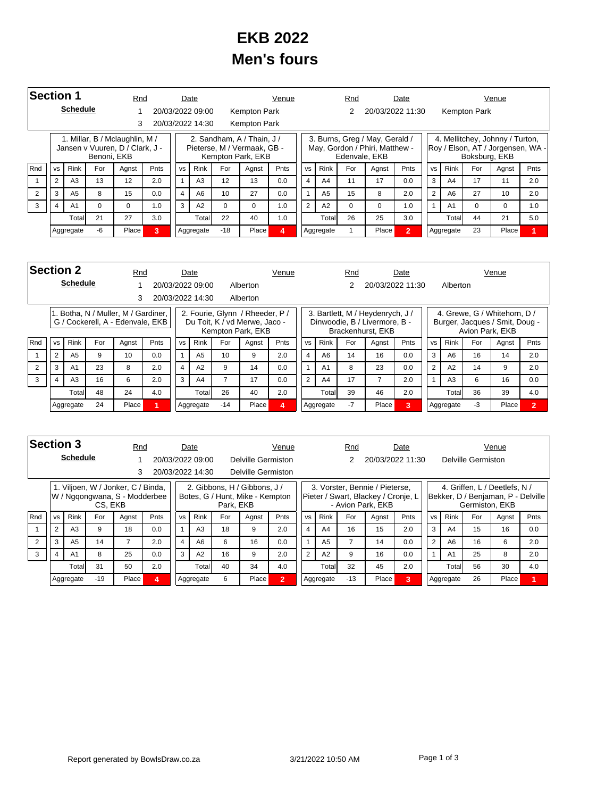## **EKB 2022 Men's fours**

| <b>Section 1</b> |                                             |                 |             | Rnd                                                               |      |           | Date             |          |                                                                                | Venue          |                |                | Rnd           |                                                                  | Date           |           |                |               | Venue                                                                |      |
|------------------|---------------------------------------------|-----------------|-------------|-------------------------------------------------------------------|------|-----------|------------------|----------|--------------------------------------------------------------------------------|----------------|----------------|----------------|---------------|------------------------------------------------------------------|----------------|-----------|----------------|---------------|----------------------------------------------------------------------|------|
|                  |                                             | <b>Schedule</b> |             |                                                                   |      |           | 20/03/2022 09:00 |          | Kempton Park                                                                   |                |                |                |               | 20/03/2022 11:30                                                 |                |           |                | Kempton Park  |                                                                      |      |
|                  |                                             |                 |             | 3                                                                 |      |           | 20/03/2022 14:30 |          | <b>Kempton Park</b>                                                            |                |                |                |               |                                                                  |                |           |                |               |                                                                      |      |
|                  |                                             |                 | Benoni, EKB | 1. Millar, B / Mclaughlin, M /<br>Jansen v Vuuren, D / Clark, J - |      |           |                  |          | 2. Sandham, A / Thain, J /<br>Pieterse, M / Vermaak, GB -<br>Kempton Park, EKB |                |                |                | Edenvale, EKB | 3. Burns, Greg / May, Gerald /<br>May, Gordon / Phiri, Matthew - |                |           |                | Boksburg, EKB | 4. Mellitchey, Johnny / Turton,<br>Roy / Elson, AT / Jorgensen, WA - |      |
| <b>Rnd</b>       | <b>VS</b>                                   | <b>Rink</b>     | For         | Agnst                                                             | Pnts | <b>VS</b> | <b>Rink</b>      | For      | Agnst                                                                          | Pnts           | <b>VS</b>      | <b>Rink</b>    | For           | Agnst                                                            | Pnts           | <b>VS</b> | <b>Rink</b>    | For           | Agnst                                                                | Pnts |
|                  | $\overline{2}$                              | A <sub>3</sub>  | 13          | 12                                                                | 2.0  |           | A3               | 12       | 13                                                                             | 0.0            | $\overline{4}$ | A <sub>4</sub> | 11            | 17                                                               | 0.0            | 3         | A4             | 17            | 11                                                                   | 2.0  |
|                  | 3                                           | A <sub>5</sub>  | 8           | 15                                                                | 0.0  | 4         | A <sub>6</sub>   | 10       | 27                                                                             | 0.0            |                | A <sub>5</sub> | 15            | 8                                                                | 2.0            | 2         | A <sub>6</sub> | 27            | 10                                                                   | 2.0  |
| 3                | A <sub>1</sub><br>$\Omega$<br>4<br>$\Omega$ |                 |             |                                                                   | 1.0  | 3         | A2               | $\Omega$ | $\Omega$                                                                       | 1.0            | $\overline{2}$ | A2             | $\Omega$      | $\Omega$                                                         | 1.0            |           | A <sub>1</sub> | 0             | 0                                                                    | 1.0  |
|                  | 21<br>Totall                                |                 |             |                                                                   | 3.0  |           | Total            | 22       | 40                                                                             | 1.0            |                | Total          | 26            | 25                                                               | 3.0            |           | Total          | 44            | 21                                                                   | 5.0  |
|                  |                                             | Aggregate       | -6          | Place                                                             | 3    |           | Aggregate        | $-18$    | Place                                                                          | $\overline{a}$ |                | Aggregate      |               | Place                                                            | $\overline{2}$ |           | Aggregate      | 23            | Place                                                                |      |

| <b>Section 2</b> |                                                         |                 |    | Rnd                                                                  |     |                | Date             |       |                                                                                       | Venue |                |                | Rnd  |                                                                                        | Date |                |                |                 | Venue                                                          |                |
|------------------|---------------------------------------------------------|-----------------|----|----------------------------------------------------------------------|-----|----------------|------------------|-------|---------------------------------------------------------------------------------------|-------|----------------|----------------|------|----------------------------------------------------------------------------------------|------|----------------|----------------|-----------------|----------------------------------------------------------------|----------------|
|                  |                                                         | <b>Schedule</b> |    |                                                                      |     |                | 20/03/2022 09:00 |       | Alberton                                                                              |       |                |                |      | 20/03/2022 11:30                                                                       |      |                | Alberton       |                 |                                                                |                |
|                  |                                                         |                 |    | 3                                                                    |     |                | 20/03/2022 14:30 |       | Alberton                                                                              |       |                |                |      |                                                                                        |      |                |                |                 |                                                                |                |
|                  |                                                         |                 |    | Botha, N / Muller, M / Gardiner,<br>G / Cockerell, A - Edenvale, EKB |     |                |                  |       | 2. Fourie, Glynn / Rheeder, P /<br>Du Toit, K / vd Merwe, Jaco -<br>Kempton Park, EKB |       |                |                |      | 3. Bartlett, M / Heydenrych, J /<br>Dinwoodie, B / Livermore, B -<br>Brackenhurst, EKB |      |                |                | Avion Park, EKB | 4. Grewe, G / Whitehorn, D /<br>Burger, Jacques / Smit, Doug - |                |
| Rnd              | For<br><b>Rink</b><br><b>Pnts</b><br><b>VS</b><br>Agnst |                 |    |                                                                      |     | <b>VS</b>      | <b>Rink</b>      | For   | Agnst                                                                                 | Pnts  | <b>VS</b>      | <b>Rink</b>    | For  | Agnst                                                                                  | Pnts | <b>VS</b>      | <b>Rink</b>    | For             | Agnst                                                          | Pnts           |
|                  | 2                                                       | A <sub>5</sub>  | 9  | 10 <sup>1</sup>                                                      | 0.0 | 1              | A <sub>5</sub>   | 10    | 9                                                                                     | 2.0   | $\overline{4}$ | A6             | 14   | 16                                                                                     | 0.0  | 3              | A6             | 16              | 14                                                             | 2.0            |
| 2                | 3                                                       | A <sub>1</sub>  | 23 | 8                                                                    | 2.0 | $\overline{4}$ | A2               | 9     | 14                                                                                    | 0.0   |                | A <sub>1</sub> | 8    | 23                                                                                     | 0.0  | $\overline{2}$ | A2             | 14              | 9                                                              | 2.0            |
| 3                | 4                                                       | A <sub>3</sub>  | 16 | 6                                                                    | 2.0 | 3              | A4               |       | 17                                                                                    | 0.0   | 2              | A4             | 17   |                                                                                        | 2.0  |                | A <sub>3</sub> | 6               | 16                                                             | 0.0            |
|                  | 48<br>Total                                             |                 |    | 24                                                                   | 4.0 |                | Totall           | 26    | 40                                                                                    | 2.0   |                | Total          | 39   | 46                                                                                     | 2.0  |                | Total          | 36              | 39                                                             | 4.0            |
|                  |                                                         | Aggregate       | 24 | Place                                                                |     |                | Aggregate        | $-14$ | Place                                                                                 | 4     |                | Aggregate      | $-7$ | Place                                                                                  | 3    |                | Aggregate      | -3              | Place                                                          | $\overline{2}$ |

| <b>Section 3</b> |                                                        |                 |         | Rnd                                                                 |      |           | Date             |                |                                                                 | Venue |                |                | Rnd   |                                                                                            | Date |           |                |                    | Venue                                                               |      |
|------------------|--------------------------------------------------------|-----------------|---------|---------------------------------------------------------------------|------|-----------|------------------|----------------|-----------------------------------------------------------------|-------|----------------|----------------|-------|--------------------------------------------------------------------------------------------|------|-----------|----------------|--------------------|---------------------------------------------------------------------|------|
|                  |                                                        | <b>Schedule</b> |         |                                                                     |      |           | 20/03/2022 09:00 |                | Delville Germiston                                              |       |                |                |       | 20/03/2022 11:30                                                                           |      |           |                | Delville Germiston |                                                                     |      |
|                  |                                                        |                 |         |                                                                     |      |           | 20/03/2022 14:30 |                | Delville Germiston                                              |       |                |                |       |                                                                                            |      |           |                |                    |                                                                     |      |
|                  |                                                        |                 | CS, EKB | 1. Viljoen, W / Jonker, C / Binda,<br>W / Nggongwana, S - Modderbee |      |           |                  | Park. EKB      | 2. Gibbons. H / Gibbons. J /<br>Botes, G / Hunt, Mike - Kempton |       |                |                |       | 3. Vorster, Bennie / Pieterse.<br>Pieter / Swart, Blackey / Cronje, L<br>- Avion Park, EKB |      |           |                | Germiston, EKB     | 4. Griffen, L / Deetlefs, N /<br>Bekker, D / Benjaman, P - Delville |      |
| Rnd              | <b>VS</b>                                              | <b>Rink</b>     | For     | Agnst                                                               | Pnts | <b>VS</b> | Rink             | For            | Agnst                                                           | Pnts  | <b>VS</b>      | <b>Rink</b>    | For   | Agnst                                                                                      | Pnts | <b>VS</b> | Rink           | For                | Agnst                                                               | Pnts |
|                  | $\overline{2}$                                         | A <sub>3</sub>  | 9       | 18                                                                  | 0.0  |           | A <sub>3</sub>   | 18             | 9                                                               | 2.0   | 4              | A4             | 16    | 15                                                                                         | 2.0  | 3         | A <sub>4</sub> | 15                 | 16                                                                  | 0.0  |
|                  | 3<br>A <sub>5</sub><br>2.0<br>A6<br>4<br>6<br>16<br>14 |                 |         |                                                                     |      | 0.0       |                  | A <sub>5</sub> |                                                                 | 14    | 0.0            | $\overline{2}$ | A6    | 16                                                                                         | 6    | 2.0       |                |                    |                                                                     |      |
| 3                | $\overline{4}$                                         | A <sub>1</sub>  | 8       | 25                                                                  | 0.0  | 3         | A2               | 16             | 9                                                               | 2.0   | $\overline{2}$ | A2             | 9     | 16                                                                                         | 0.0  |           | A <sub>1</sub> | 25                 | 8                                                                   | 2.0  |
|                  | 31<br>Total                                            |                 |         |                                                                     | 2.0  |           | Totall           | 40             | 34                                                              | 4.0   |                | Total          | 32    | 45                                                                                         | 2.0  |           | Totall         | 56                 | 30                                                                  | 4.0  |
|                  |                                                        | Aggregate       | $-19$   | Place                                                               | Δ    |           | Aggregate        | 6              | Place                                                           | 12    |                | Aggregate      | $-13$ | Place                                                                                      | 3    |           | Aggregate      | 26                 | Place                                                               |      |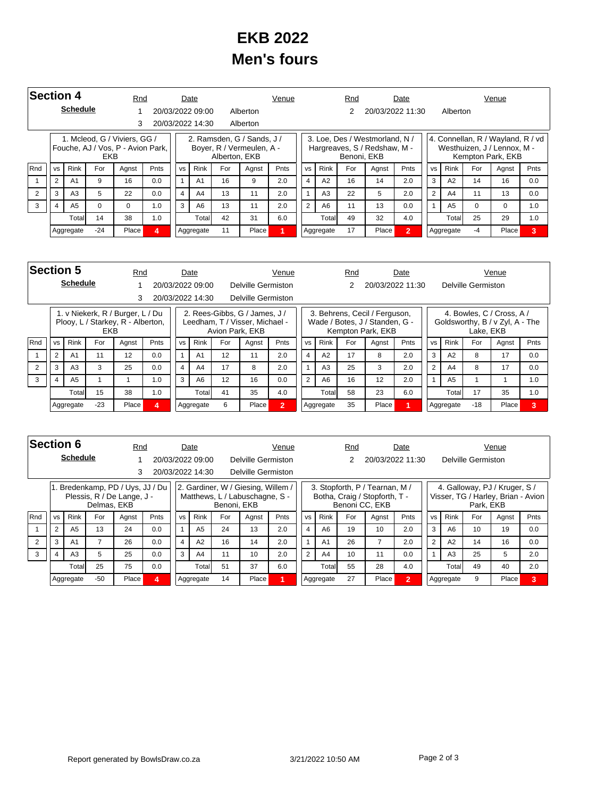## **EKB 2022 Men's fours**

| <b>Section 4</b> |                                             |                 |       | Rnd                                                               |      |                | Date             |               |                                                         | Venue |                |                | Rnd         |                                                                | Date             |                |                |          | Venue                                                                                 |      |
|------------------|---------------------------------------------|-----------------|-------|-------------------------------------------------------------------|------|----------------|------------------|---------------|---------------------------------------------------------|-------|----------------|----------------|-------------|----------------------------------------------------------------|------------------|----------------|----------------|----------|---------------------------------------------------------------------------------------|------|
|                  |                                             | <b>Schedule</b> |       |                                                                   |      |                | 20/03/2022 09:00 |               | Alberton                                                |       |                |                |             |                                                                | 20/03/2022 11:30 |                | Alberton       |          |                                                                                       |      |
|                  |                                             |                 |       | 3                                                                 |      |                | 20/03/2022 14:30 |               | Alberton                                                |       |                |                |             |                                                                |                  |                |                |          |                                                                                       |      |
|                  |                                             |                 | EKB   | 1. Mcleod, G / Viviers, GG /<br>Fouche, AJ / Vos, P - Avion Park, |      |                |                  | Alberton, EKB | 2. Ramsden, G / Sands, J /<br>Boyer, R / Vermeulen, A - |       |                |                | Benoni, EKB | 3. Loe, Des / Westmorland, N /<br>Hargreaves, S / Redshaw, M - |                  |                |                |          | 4. Connellan, R / Wayland, R / vd<br>Westhuizen, J / Lennox, M -<br>Kempton Park, EKB |      |
| <b>Rnd</b>       | <b>VS</b>                                   | <b>Rink</b>     | For   | Agnst                                                             | Pnts | <b>VS</b>      | <b>Rink</b>      | For           | Agnst                                                   | Pnts  | <b>VS</b>      | <b>Rink</b>    | For         | Agnst                                                          | <b>Pnts</b>      | <b>VS</b>      | <b>Rink</b>    | For      | Agnst                                                                                 | Pnts |
|                  | $\overline{2}$                              | A <sub>1</sub>  | 9     | 16                                                                | 0.0  |                | A <sub>1</sub>   | 16            | 9                                                       | 2.0   | $\overline{4}$ | A2             | 16          | 14                                                             | 2.0              | 3              | A2             | 14       | 16                                                                                    | 0.0  |
|                  | 3                                           | A <sub>3</sub>  | 5     | 22                                                                | 0.0  | $\overline{4}$ | A4               | 13            | 11                                                      | 2.0   |                | A <sub>3</sub> | 22          | 5                                                              | 2.0              | $\overline{2}$ | A4             | 11       | 13                                                                                    | 0.0  |
| 3                | A <sub>5</sub><br>$\Omega$<br>$\Omega$<br>4 |                 |       |                                                                   | 1.0  | 3              | A <sub>6</sub>   | 13            | 11                                                      | 2.0   | 2              | A <sub>6</sub> | 11          | 13                                                             | 0.0              |                | A <sub>5</sub> | $\Omega$ | 0                                                                                     | 1.0  |
|                  |                                             | Totall          | 14    | 38                                                                | 1.0  |                | Totall           | 42            | 31                                                      | 6.0   |                | Totall         | 49          | 32                                                             | 4.0              |                | Total          | 25       | 29                                                                                    | 1.0  |
|                  |                                             | Aggregate       | $-24$ | Place                                                             | А    |                | Aggregate        | 11            | Place                                                   |       |                | Aggregate      | 17          | Place                                                          | $\overline{2}$   |                | Aggregate      | -4       | Place                                                                                 | 3    |

| <b>Section 5</b> |           |                 |            | Rnd                                                                   |      |           | Date             |                 |                                                                 | Venue          |                |                | Rnd |                                                                                      | Date |                |                |                    | Venue                                                        |      |
|------------------|-----------|-----------------|------------|-----------------------------------------------------------------------|------|-----------|------------------|-----------------|-----------------------------------------------------------------|----------------|----------------|----------------|-----|--------------------------------------------------------------------------------------|------|----------------|----------------|--------------------|--------------------------------------------------------------|------|
|                  |           | <b>Schedule</b> |            |                                                                       |      |           | 20/03/2022 09:00 |                 | Delville Germiston                                              |                |                |                |     | 20/03/2022 11:30                                                                     |      |                |                | Delville Germiston |                                                              |      |
|                  |           |                 |            | 3                                                                     |      |           | 20/03/2022 14:30 |                 | Delville Germiston                                              |                |                |                |     |                                                                                      |      |                |                |                    |                                                              |      |
|                  |           |                 | <b>EKB</b> | 1. v Niekerk, R / Burger, L / Du<br>Plooy, L / Starkey, R - Alberton, |      |           |                  | Avion Park, EKB | 2. Rees-Gibbs, G / James, J /<br>Leedham, T / Visser, Michael - |                |                |                |     | 3. Behrens, Cecil / Ferguson,<br>Wade / Botes, J / Standen, G -<br>Kempton Park, EKB |      |                |                | Lake, EKB          | 4. Bowles, C / Cross, A /<br>Goldsworthy, B / v Zyl, A - The |      |
| Rnd              | <b>VS</b> | <b>Rink</b>     | For        | Agnst                                                                 | Pnts | <b>VS</b> | Rink             | For             | Agnst                                                           | Pnts           | <b>VS</b>      | <b>Rink</b>    | For | Agnst                                                                                | Pnts | VS             | <b>Rink</b>    | For                | Agnst                                                        | Pnts |
|                  | 2         | A <sub>1</sub>  | 11         | 12                                                                    | 0.0  |           | A <sub>1</sub>   | 12              | 11                                                              | 2.0            |                | A2             | 17  | 8                                                                                    | 2.0  | 3              | A2             | 8                  | 17                                                           | 0.0  |
| 2                | 3         | A3              | 3          | 25                                                                    | 0.0  | 4         | A <sub>4</sub>   | 17              | 8                                                               | 2.0            |                | A <sub>3</sub> | 25  | 3                                                                                    | 2.0  | $\mathfrak{p}$ | A <sub>4</sub> | 8                  | 17                                                           | 0.0  |
| 3                | 4         | A <sub>5</sub>  |            |                                                                       | 1.0  | 3         | A <sub>6</sub>   | 12              | 16                                                              | 0.0            | $\overline{2}$ | A <sub>6</sub> | 16  | 12                                                                                   | 2.0  |                | A5             |                    |                                                              | 1.0  |
|                  |           | Total           | 15         | 38                                                                    | 1.0  |           | Totall           | 41              | 35                                                              | 4.0            |                | Total          | 58  | 23                                                                                   | 6.0  |                | Total          | 17                 | 35                                                           | 1.0  |
|                  |           | Aggregate       | $-23$      | Place                                                                 | Δ    |           | Aggregate        | 6               | Place                                                           | $\overline{2}$ |                | Aggregate      | 35  | Place                                                                                |      |                | Aggregate      | $-18$              | Place                                                        | 3    |

|                |                                       | <b>Section 6</b> |             | Rnd                                                            |      |           | Date             |             |                                                                      | Venue |                |                | Rnd |                                                                                   | Date           |           |                |                    | Venue                                                               |      |
|----------------|---------------------------------------|------------------|-------------|----------------------------------------------------------------|------|-----------|------------------|-------------|----------------------------------------------------------------------|-------|----------------|----------------|-----|-----------------------------------------------------------------------------------|----------------|-----------|----------------|--------------------|---------------------------------------------------------------------|------|
|                |                                       | <b>Schedule</b>  |             |                                                                |      |           | 20/03/2022 09:00 |             | Delville Germiston                                                   |       |                |                | 2   | 20/03/2022 11:30                                                                  |                |           |                | Delville Germiston |                                                                     |      |
|                |                                       |                  |             | 3                                                              |      |           | 20/03/2022 14:30 |             | Delville Germiston                                                   |       |                |                |     |                                                                                   |                |           |                |                    |                                                                     |      |
|                |                                       |                  | Delmas, EKB | 1. Bredenkamp, PD / Uys, JJ / Du<br>Plessis, R / De Lange, J - |      |           |                  | Benoni, EKB | 2. Gardiner, W / Giesing, Willem /<br>Matthews, L / Labuschagne, S - |       |                |                |     | 3. Stopforth, P / Tearnan, M /<br>Botha, Craig / Stopforth, T -<br>Benoni CC, EKB |                |           |                | Park, EKB          | 4. Galloway, PJ / Kruger, S /<br>Visser, TG / Harley, Brian - Avion |      |
| Rnd            | <b>VS</b>                             | <b>Rink</b>      | For         | Agnst                                                          | Pnts | <b>VS</b> | Rink             | For         | Agnst                                                                | Pnts  | <b>VS</b>      | <b>Rink</b>    | For | Agnst                                                                             | Pnts           | <b>VS</b> | <b>Rink</b>    | For                | Agnst                                                               | Pnts |
|                | 2                                     | A <sub>5</sub>   | 13          | 24                                                             | 0.0  |           | A <sub>5</sub>   | 24          | 13                                                                   | 2.0   | $\overline{4}$ | A6             | 19  | 10                                                                                | 2.0            | 3         | A6             | 10                 | 19                                                                  | 0.0  |
| $\overline{2}$ | 3                                     | A <sub>1</sub>   |             | 26                                                             | 0.0  | 4         | A2               | 16          | 14                                                                   | 2.0   |                | A <sub>1</sub> | 26  |                                                                                   | 2.0            | 2         | A2             | 14                 | 16                                                                  | 0.0  |
| 3              | A <sub>3</sub><br>25<br>0.0<br>5<br>4 |                  |             |                                                                |      | 3         | A <sub>4</sub>   | 11          | 10                                                                   | 2.0   | $\overline{2}$ | A4             | 10  | 11                                                                                | 0.0            |           | A <sub>3</sub> | 25                 | 5                                                                   | 2.0  |
|                | 25<br>Total                           |                  |             | 75                                                             | 0.0  |           | Totall           | 51          | 37                                                                   | 6.0   |                | Total          | 55  | 28                                                                                | 4.0            |           | Total          | 49                 | 40                                                                  | 2.0  |
|                |                                       | Aggregate        | $-50$       | Place                                                          |      |           | Aggregate        | 14          | Place                                                                |       |                | Aggregate      | 27  | Place                                                                             | $\overline{2}$ |           | Aggregate      | 9                  | Place                                                               | 3    |